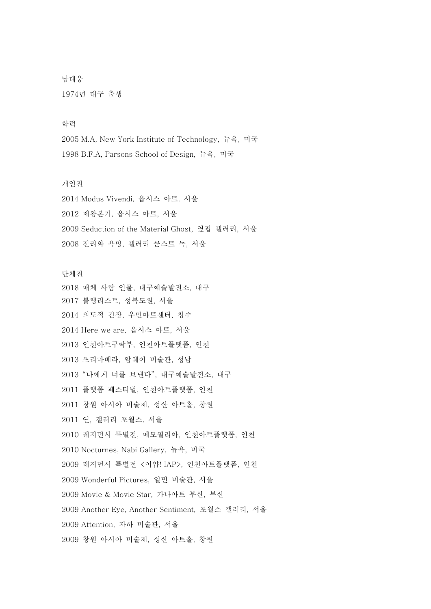남대웅 1974년 대구 출생

## 학력

2005 M.A, New York Institute of Technology, 뉴욕, 미국 1998 B.F.A, Parsons School of Design, 뉴욕, 미국

## 개인전

2014 Modus Vivendi, 옵시스 아트. 서울 2012 제왕본기, 옵시스 아트, 서울 2009 Seduction of the Material Ghost, 옆집 갤러리, 서울 2008 진리와 욕망, 갤러리 쿤스트 독, 서울

단체전 매체 사람 인물, 대구예술발전소, 대구 블랭리스트, 성북도원, 서울 의도적 긴장, 우민아트센터, 청주 2014 Here we are, 옵시스 아트, 서울 인천아트구락부, 인천아트플랫폼, 인천 프리마베라, 암웨이 미술관, 성남 "나에게 너를 보낸다", 대구예술발전소, 대구 플랫폼 페스티벌, 인천아트플랫폼, 인천 창원 아시아 미술제, 성산 아트홀, 창원 연, 갤러리 포월스. 서울 레지던시 특별전, 메모필리아, 인천아트플랫폼, 인천 2010 Nocturnes, Nabi Gallery, 뉴욕, 미국 레지던시 특별전 <이얍! IAP>, 인천아트플랫폼, 인천 2009 Wonderful Pictures, 일민 미술관, 서울 2009 Movie & Movie Star, 가나아트 부산, 부산 2009 Another Eye, Another Sentiment, 포월스 갤러리, 서울 2009 Attention, 자하 미술관, 서울 창원 아시아 미술제, 성산 아트홀, 창원